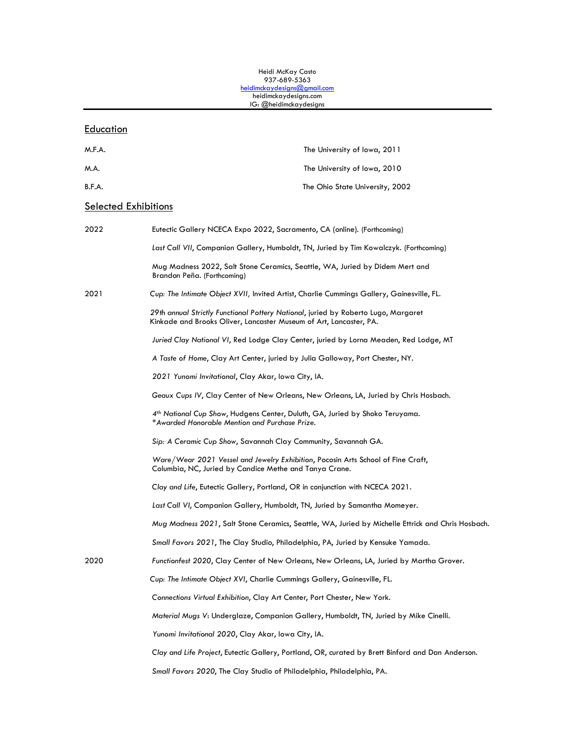#### Heidi McKay Casto 937-689-5363 [heidimckaydesigns@gmail.com](mailto:heidimckaydesigns@gmail.com) heidimckaydesigns.com IG: @heidimckaydesigns

#### **Education**

| M.F.A.                      | The University of Iowa, 2011                                                                                                                             |
|-----------------------------|----------------------------------------------------------------------------------------------------------------------------------------------------------|
| M.A.                        | The University of Iowa, 2010                                                                                                                             |
| B.F.A.                      | The Ohio State University, 2002                                                                                                                          |
| <b>Selected Exhibitions</b> |                                                                                                                                                          |
| 2022                        | Eutectic Gallery NCECA Expo 2022, Sacramento, CA (online). (Forthcoming)                                                                                 |
|                             | Last Call VII, Companion Gallery, Humboldt, TN, Juried by Tim Kowalczyk. (Forthcoming)                                                                   |
|                             | Mug Madness 2022, Salt Stone Ceramics, Seattle, WA, Juried by Didem Mert and<br>Brandon Peña. (Forthcoming)                                              |
| 2021                        | Cup: The Intimate Object XVII, Invited Artist, Charlie Cummings Gallery, Gainesville, FL.                                                                |
|                             | 29th annual Strictly Functional Pottery National, juried by Roberto Lugo, Margaret<br>Kinkade and Brooks Oliver, Lancaster Museum of Art, Lancaster, PA. |
|                             | Juried Clay National VI, Red Lodge Clay Center, juried by Lorna Meaden, Red Lodge, MT                                                                    |
|                             |                                                                                                                                                          |

*A Taste of Home*, Clay Art Center, juried by Julia Galloway, Port Chester, NY.

*2021 Yunomi Invitational*, Clay Akar, Iowa City, IA.

*Geaux Cups IV*, Clay Center of New Orleans, New Orleans, LA, Juried by Chris Hosbach.

*4th National Cup Show*, Hudgens Center, Duluth, GA, Juried by Shoko Teruyama. \**Awarded Honorable Mention and Purchase Prize.*

*Sip: A Ceramic Cup Show*, Savannah Clay Community, Savannah GA.

*Ware/Wear 2021 Vessel and Jewelry Exhibition*, Pocosin Arts School of Fine Craft, Columbia, NC, Juried by Candice Methe and Tanya Crane.

*Clay and Life*, Eutectic Gallery, Portland, OR in conjunction with NCECA 2021.

*Last Call VI*, Companion Gallery, Humboldt, TN, Juried by Samantha Momeyer.

*Mug Madness 2021*, Salt Stone Ceramics, Seattle, WA, Juried by Michelle Ettrick and Chris Hosbach.

*Small Favors 2021*, The Clay Studio, Philadelphia, PA, Juried by Kensuke Yamada.

2020 *Functionfest 2020*, Clay Center of New Orleans, New Orleans, LA, Juried by Martha Grover.

*Cup: The Intimate Object XVI*, Charlie Cummings Gallery, Gainesville, FL.

*Connections Virtual Exhibition*, Clay Art Center, Port Chester, New York.

*Material Mugs V*: Underglaze, Companion Gallery, Humboldt, TN, Juried by Mike Cinelli.

*Yunomi Invitational 2020*, Clay Akar, Iowa City, IA.

*Clay and Life Project*, Eutectic Gallery, Portland, OR, curated by Brett Binford and Dan Anderson.

*Small Favors 2020*, The Clay Studio of Philadelphia, Philadelphia, PA.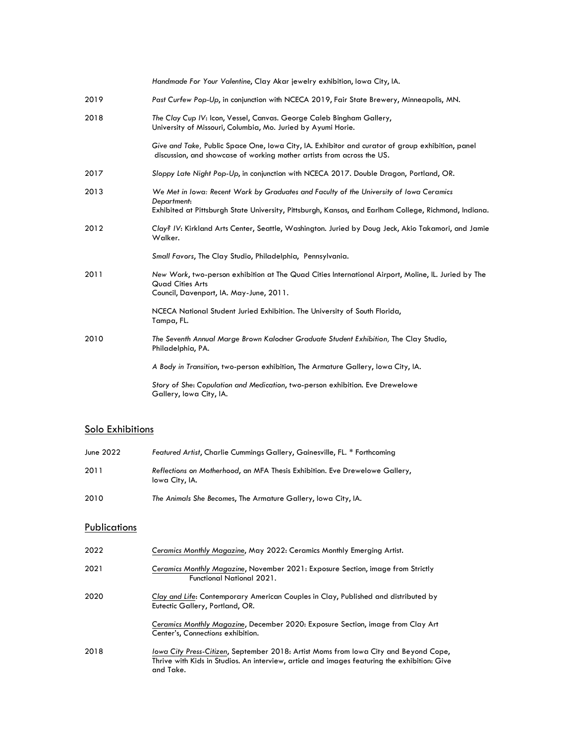|      | Handmade For Your Valentine, Clay Akar jewelry exhibition, Iowa City, IA.                                                                                                  |
|------|----------------------------------------------------------------------------------------------------------------------------------------------------------------------------|
| 2019 | Past Curfew Pop-Up, in conjunction with NCECA 2019, Fair State Brewery, Minneapolis, MN.                                                                                   |
| 2018 | The Clay Cup IV: Icon, Vessel, Canvas. George Caleb Bingham Gallery,<br>University of Missouri, Columbia, Mo. Juried by Ayumi Horie.                                       |
|      | Give and Take, Public Space One, Iowa City, IA. Exhibitor and curator of group exhibition, panel<br>discussion, and showcase of working mother artists from across the US. |
| 2017 | Sloppy Late Night Pop-Up, in conjunction with NCECA 2017. Double Dragon, Portland, OR.                                                                                     |
| 2013 | We Met in Iowa: Recent Work by Graduates and Faculty of the University of Iowa Ceramics<br>Department:                                                                     |
|      | Exhibited at Pittsburgh State University, Pittsburgh, Kansas, and Earlham College, Richmond, Indiana.                                                                      |
| 2012 | Clay? IV: Kirkland Arts Center, Seattle, Washington. Juried by Doug Jeck, Akio Takamori, and Jamie<br>Walker.                                                              |
|      | Small Favors, The Clay Studio, Philadelphia, Pennsylvania.                                                                                                                 |
| 2011 | New Work, two-person exhibition at The Quad Cities International Airport, Moline, IL. Juried by The<br><b>Quad Cities Arts</b><br>Council, Davenport, IA. May-June, 2011.  |
|      | NCECA National Student Juried Exhibition. The University of South Florida,<br>Tampa, FL.                                                                                   |
| 2010 | The Seventh Annual Marge Brown Kalodner Graduate Student Exhibition, The Clay Studio,<br>Philadelphia, PA.                                                                 |
|      | A Body in Transition, two-person exhibition, The Armature Gallery, Iowa City, IA.                                                                                          |
|      | Story of She: Copulation and Medication, two-person exhibition. Eve Drewelowe<br>Gallery, Iowa City, IA.                                                                   |

## Solo Exhibitions

| June 2022 | Featured Artist, Charlie Cummings Gallery, Gainesville, FL. * Forthcoming                     |
|-----------|-----------------------------------------------------------------------------------------------|
| 2011      | Reflections on Motherhood, an MFA Thesis Exhibition. Eve Drewelowe Gallery,<br>lowa City, IA. |
| 2010      | The Animals She Becomes, The Armature Gallery, Iowa City, IA.                                 |

# **Publications**

| 2022 | Ceramics Monthly Magazine, May 2022: Ceramics Monthly Emerging Artist.                                                                                                                            |
|------|---------------------------------------------------------------------------------------------------------------------------------------------------------------------------------------------------|
| 2021 | Ceramics Monthly Magazine, November 2021: Exposure Section, image from Strictly<br><b>Functional National 2021.</b>                                                                               |
| 2020 | Clay and Life: Contemporary American Couples in Clay, Published and distributed by<br>Eutectic Gallery, Portland, OR.                                                                             |
|      | Ceramics Monthly Magazine, December 2020: Exposure Section, image from Clay Art<br>Center's, Connections exhibition.                                                                              |
| 2018 | lowa City Press-Citizen, September 2018: Artist Moms from lowa City and Beyond Cope,<br>Thrive with Kids in Studios. An interview, article and images featuring the exhibition: Give<br>and Take. |